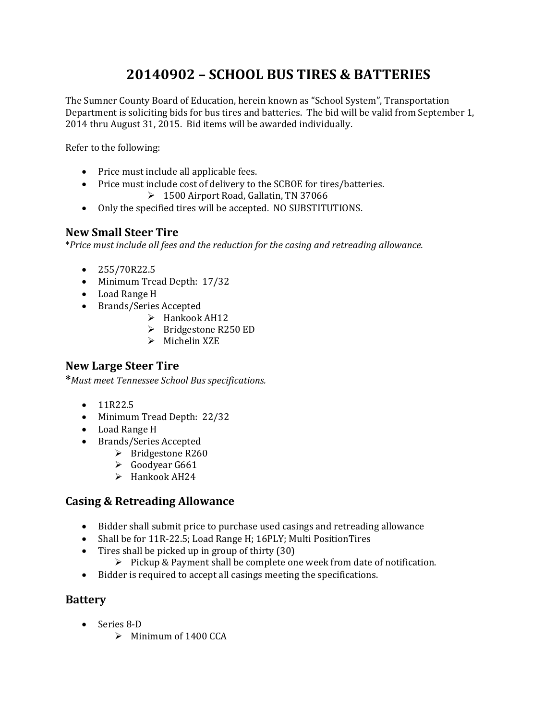# **20140902 – SCHOOL BUS TIRES & BATTERIES**

The Sumner County Board of Education, herein known as "School System", Transportation Department is soliciting bids for bus tires and batteries. The bid will be valid from September 1, 2014 thru August 31, 2015. Bid items will be awarded individually.

Refer to the following:

- $\bullet$  Price must include all applicable fees.
- Price must include cost of delivery to the SCBOE for tires/batteries.
	- $\geq 1500$  Airport Road, Gallatin, TN 37066
- Only the specified tires will be accepted. NO SUBSTITUTIONS.

# **New Small Steer Tire**

\**Price must include all fees and the reduction for the casing and retreading allowance.*

- $\bullet$  255/70R22.5
- Minimum Tread Depth: 17/32
- Load Range H
- Brands/Series Accepted
	- $\triangleright$  Hankook AH12
		- $\triangleright$  Bridgestone R250 ED
		- $\triangleright$  Michelin XZE

# **New Large Steer Tire**

**\****Must meet Tennessee School Bus specifications.*

- $\bullet$  11R22.5
- Minimum Tread Depth: 22/32
- Load Range H
- Brands/Series Accepted
	- $\triangleright$  Bridgestone R260
	- $\triangleright$  Goodyear G661
	- $\triangleright$  Hankook AH24

# **Casing & Retreading Allowance**

- Bidder shall submit price to purchase used casings and retreading allowance
- Shall be for 11R-22.5; Load Range H; 16PLY; Multi PositionTires
- Tires shall be picked up in group of thirty  $(30)$ 
	- $\triangleright$  Pickup & Payment shall be complete one week from date of notification.
- Bidder is required to accept all casings meeting the specifications.

## **Battery**

- Series 8-D
	- $\triangleright$  Minimum of 1400 CCA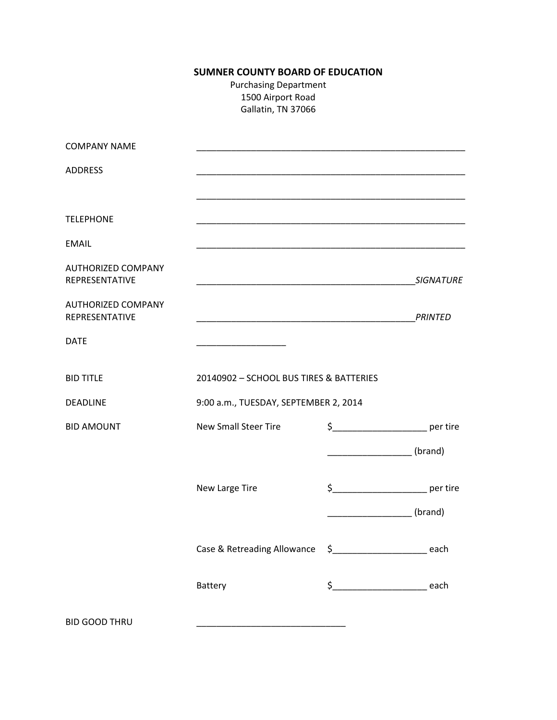## **SUMNER COUNTY BOARD OF EDUCATION**

Purchasing Department 1500 Airport Road Gallatin, TN 37066

| <b>COMPANY NAME</b>                         |                                         |                                            |                  |
|---------------------------------------------|-----------------------------------------|--------------------------------------------|------------------|
| <b>ADDRESS</b>                              |                                         |                                            |                  |
|                                             |                                         |                                            |                  |
| <b>TELEPHONE</b>                            |                                         |                                            |                  |
| <b>EMAIL</b>                                |                                         |                                            |                  |
| <b>AUTHORIZED COMPANY</b><br>REPRESENTATIVE |                                         |                                            | <b>SIGNATURE</b> |
| <b>AUTHORIZED COMPANY</b><br>REPRESENTATIVE |                                         |                                            | <b>PRINTED</b>   |
| <b>DATE</b>                                 |                                         |                                            |                  |
| <b>BID TITLE</b>                            | 20140902 - SCHOOL BUS TIRES & BATTERIES |                                            |                  |
| <b>DEADLINE</b>                             | 9:00 a.m., TUESDAY, SEPTEMBER 2, 2014   |                                            |                  |
| <b>BID AMOUNT</b>                           | <b>New Small Steer Tire</b>             | \$    _______________________ per tire     |                  |
|                                             |                                         | (hrand)                                    |                  |
|                                             | New Large Tire                          | \$_______________________________ per tire |                  |
|                                             |                                         |                                            | (brand)          |
|                                             | Case & Retreading Allowance             | $\mathsf{S}$ $\qquad \qquad$               | each             |
|                                             | Battery                                 |                                            |                  |
| <b>BID GOOD THRU</b>                        |                                         |                                            |                  |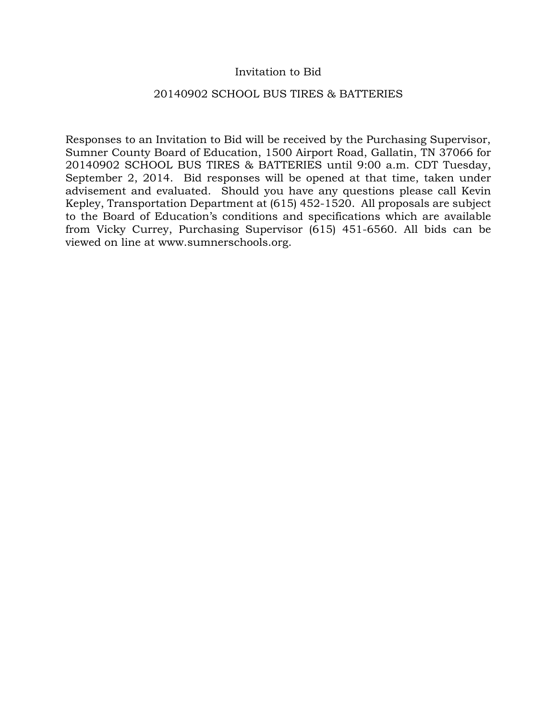### Invitation to Bid

#### 20140902 SCHOOL BUS TIRES & BATTERIES

Responses to an Invitation to Bid will be received by the Purchasing Supervisor, Sumner County Board of Education, 1500 Airport Road, Gallatin, TN 37066 for 20140902 SCHOOL BUS TIRES & BATTERIES until 9:00 a.m. CDT Tuesday, September 2, 2014. Bid responses will be opened at that time, taken under advisement and evaluated. Should you have any questions please call Kevin Kepley, Transportation Department at (615) 452-1520. All proposals are subject to the Board of Education's conditions and specifications which are available from Vicky Currey, Purchasing Supervisor (615) 451-6560. All bids can be viewed on line at www.sumnerschools.org.